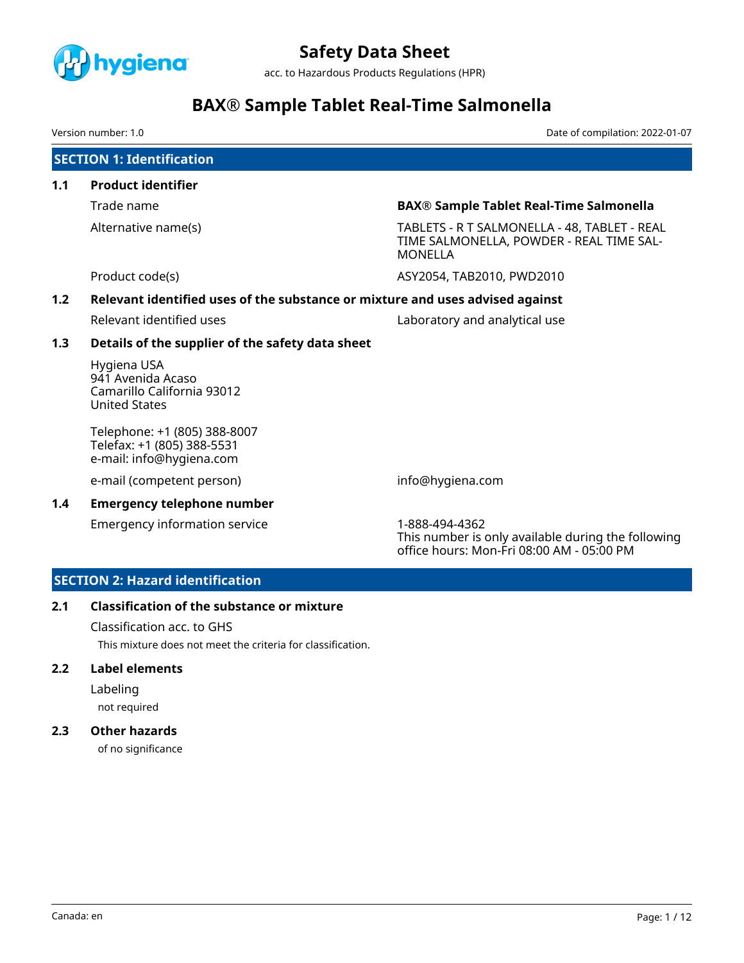

acc. to Hazardous Products Regulations (HPR)

## **BAX® Sample Tablet Real-Time Salmonella**

Version number: 1.0 Date of compilation: 2022-01-07

## **SECTION 1: Identification**

- **1.1 Product identifier**
	-

Trade name **BAX® Sample Tablet Real-Time Salmonella**

Alternative name(s) TABLETS - R T SALMONELLA - 48, TABLET - REAL TIME SALMONELLA, POWDER - REAL TIME SAL-MONELLA

Product code(s) The Code of the Code of the ASY2054, TAB2010, PWD2010

### **1.2 Relevant identified uses of the substance or mixture and uses advised against**

Relevant identified uses Laboratory and analytical use

### **1.3 Details of the supplier of the safety data sheet**

Hygiena USA 941 Avenida Acaso Camarillo California 93012 United States

Telephone: +1 (805) 388-8007 Telefax: +1 (805) 388-5531 e-mail: info@hygiena.com

e-mail (competent person) info@hygiena.com

### **1.4 Emergency telephone number**

Emergency information service 1-888-494-4362

This number is only available during the following office hours: Mon-Fri 08:00 AM - 05:00 PM

## **SECTION 2: Hazard identification**

### **2.1 Classification of the substance or mixture**

Classification acc. to GHS

This mixture does not meet the criteria for classification.

### **2.2 Label elements**

Labeling not required

## **2.3 Other hazards**

of no significance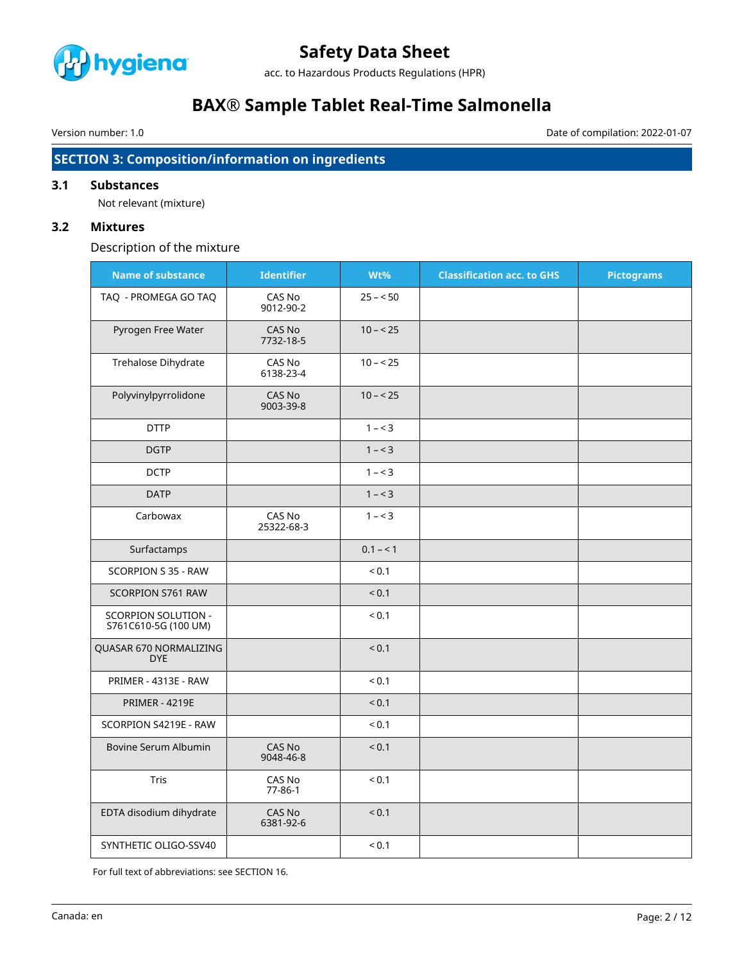

acc. to Hazardous Products Regulations (HPR)

## **BAX® Sample Tablet Real-Time Salmonella**

Version number: 1.0 Date of compilation: 2022-01-07

## **SECTION 3: Composition/information on ingredients**

## **3.1 Substances**

Not relevant (mixture)

## **3.2 Mixtures**

Description of the mixture

| <b>Name of substance</b>                    | <b>Identifier</b>       | Wt%        | <b>Classification acc. to GHS</b> | <b>Pictograms</b> |
|---------------------------------------------|-------------------------|------------|-----------------------------------|-------------------|
| TAQ - PROMEGA GO TAQ                        | CAS No<br>9012-90-2     | $25 - 50$  |                                   |                   |
| Pyrogen Free Water                          | CAS No<br>7732-18-5     | $10 - 25$  |                                   |                   |
| Trehalose Dihydrate                         | CAS No<br>6138-23-4     | $10 - 25$  |                                   |                   |
| Polyvinylpyrrolidone                        | CAS No<br>9003-39-8     | $10 - 25$  |                                   |                   |
| <b>DTTP</b>                                 |                         | $1 - 3$    |                                   |                   |
| <b>DGTP</b>                                 |                         | $1 - 3$    |                                   |                   |
| <b>DCTP</b>                                 |                         | $1 - 3$    |                                   |                   |
| <b>DATP</b>                                 |                         | $1 - 3$    |                                   |                   |
| Carbowax                                    | CAS No<br>25322-68-3    | $1 - 3$    |                                   |                   |
| Surfactamps                                 |                         | $0.1 - 1$  |                                   |                   |
| SCORPION S 35 - RAW                         |                         | < 0.1      |                                   |                   |
| SCORPION S761 RAW                           |                         | < 0.1      |                                   |                   |
| SCORPION SOLUTION -<br>S761C610-5G (100 UM) |                         | < 0.1      |                                   |                   |
| QUASAR 670 NORMALIZING<br><b>DYE</b>        |                         | < 0.1      |                                   |                   |
| PRIMER - 4313E - RAW                        |                         | ${}_{0.1}$ |                                   |                   |
| <b>PRIMER - 4219E</b>                       |                         | ${}_{0.1}$ |                                   |                   |
| SCORPION S4219E - RAW                       |                         | ${}_{0.1}$ |                                   |                   |
| Bovine Serum Albumin                        | CAS No<br>9048-46-8     | < 0.1      |                                   |                   |
| Tris                                        | CAS No<br>$77 - 86 - 1$ | ${}_{0.1}$ |                                   |                   |
| EDTA disodium dihydrate                     | CAS No<br>6381-92-6     | < 0.1      |                                   |                   |
| SYNTHETIC OLIGO-SSV40                       |                         | ${}_{0.1}$ |                                   |                   |

For full text of abbreviations: see SECTION 16.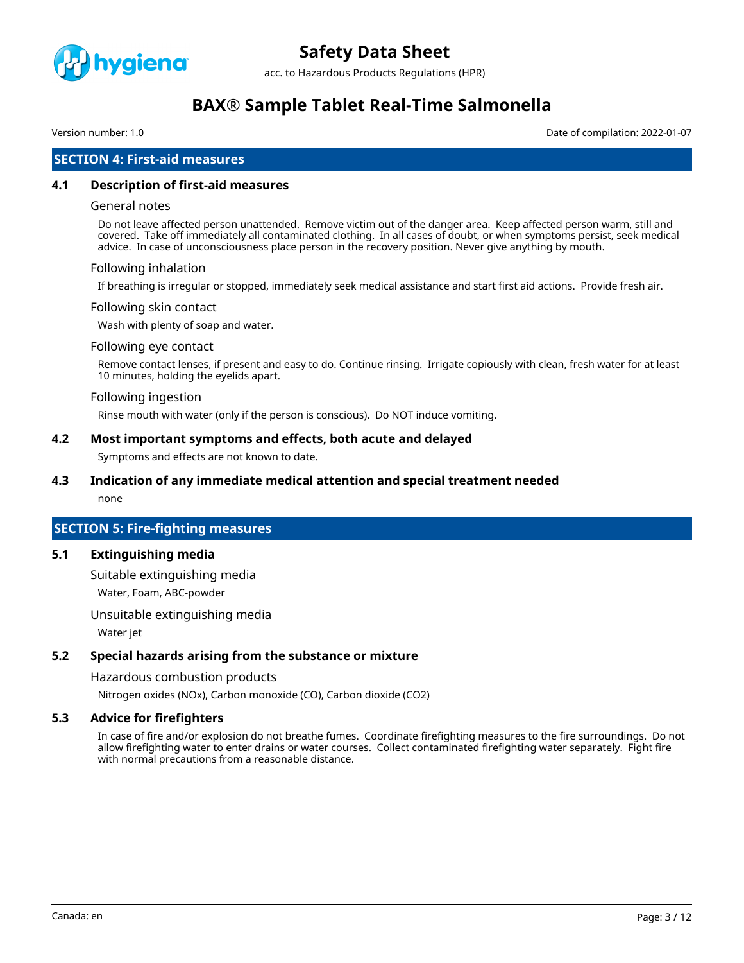

acc. to Hazardous Products Regulations (HPR)

## **BAX® Sample Tablet Real-Time Salmonella**

Version number: 1.0 Date of compilation: 2022-01-07

## **SECTION 4: First-aid measures**

#### **4.1 Description of first-aid measures**

#### General notes

Do not leave affected person unattended. Remove victim out of the danger area. Keep affected person warm, still and covered. Take off immediately all contaminated clothing. In all cases of doubt, or when symptoms persist, seek medical advice. In case of unconsciousness place person in the recovery position. Never give anything by mouth.

#### Following inhalation

If breathing is irregular or stopped, immediately seek medical assistance and start first aid actions. Provide fresh air.

#### Following skin contact

Wash with plenty of soap and water.

#### Following eye contact

Remove contact lenses, if present and easy to do. Continue rinsing. Irrigate copiously with clean, fresh water for at least 10 minutes, holding the eyelids apart.

#### Following ingestion

Rinse mouth with water (only if the person is conscious). Do NOT induce vomiting.

#### **4.2 Most important symptoms and effects, both acute and delayed**

Symptoms and effects are not known to date.

### **4.3 Indication of any immediate medical attention and special treatment needed**

none

### **SECTION 5: Fire-fighting measures**

#### **5.1 Extinguishing media**

Suitable extinguishing media Water, Foam, ABC-powder

Unsuitable extinguishing media

Water jet

### **5.2 Special hazards arising from the substance or mixture**

Hazardous combustion products

Nitrogen oxides (NOx), Carbon monoxide (CO), Carbon dioxide (CO2)

### **5.3 Advice for firefighters**

In case of fire and/or explosion do not breathe fumes. Coordinate firefighting measures to the fire surroundings. Do not allow firefighting water to enter drains or water courses. Collect contaminated firefighting water separately. Fight fire with normal precautions from a reasonable distance.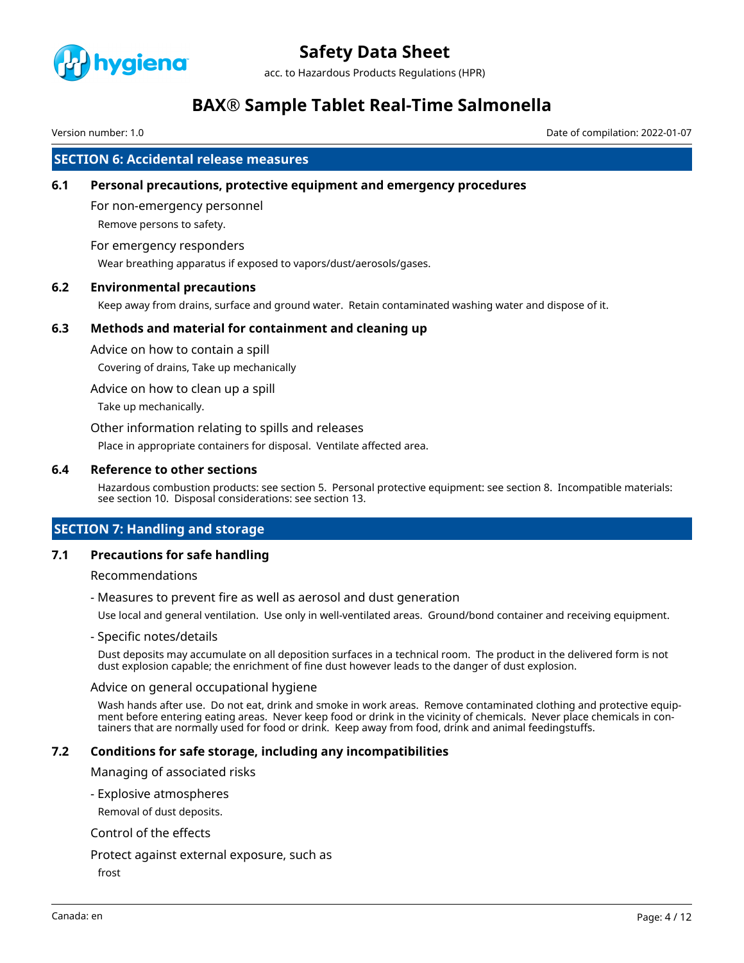

acc. to Hazardous Products Regulations (HPR)

## **BAX® Sample Tablet Real-Time Salmonella**

Version number: 1.0 Date of compilation: 2022-01-07

### **SECTION 6: Accidental release measures**

### **6.1 Personal precautions, protective equipment and emergency procedures**

For non-emergency personnel Remove persons to safety.

#### For emergency responders

Wear breathing apparatus if exposed to vapors/dust/aerosols/gases.

### **6.2 Environmental precautions**

Keep away from drains, surface and ground water. Retain contaminated washing water and dispose of it.

### **6.3 Methods and material for containment and cleaning up**

Advice on how to contain a spill

Covering of drains, Take up mechanically

Advice on how to clean up a spill

Take up mechanically.

Other information relating to spills and releases

Place in appropriate containers for disposal. Ventilate affected area.

#### **6.4 Reference to other sections**

Hazardous combustion products: see section 5. Personal protective equipment: see section 8. Incompatible materials: see section 10. Disposal considerations: see section 13.

## **SECTION 7: Handling and storage**

### **7.1 Precautions for safe handling**

Recommendations

- Measures to prevent fire as well as aerosol and dust generation

Use local and general ventilation. Use only in well-ventilated areas. Ground/bond container and receiving equipment.

- Specific notes/details

Dust deposits may accumulate on all deposition surfaces in a technical room. The product in the delivered form is not dust explosion capable; the enrichment of fine dust however leads to the danger of dust explosion.

#### Advice on general occupational hygiene

Wash hands after use. Do not eat, drink and smoke in work areas. Remove contaminated clothing and protective equipment before entering eating areas. Never keep food or drink in the vicinity of chemicals. Never place chemicals in containers that are normally used for food or drink. Keep away from food, drink and animal feedingstuffs.

### **7.2 Conditions for safe storage, including any incompatibilities**

Managing of associated risks

- Explosive atmospheres

Removal of dust deposits.

#### Control of the effects

#### Protect against external exposure, such as

frost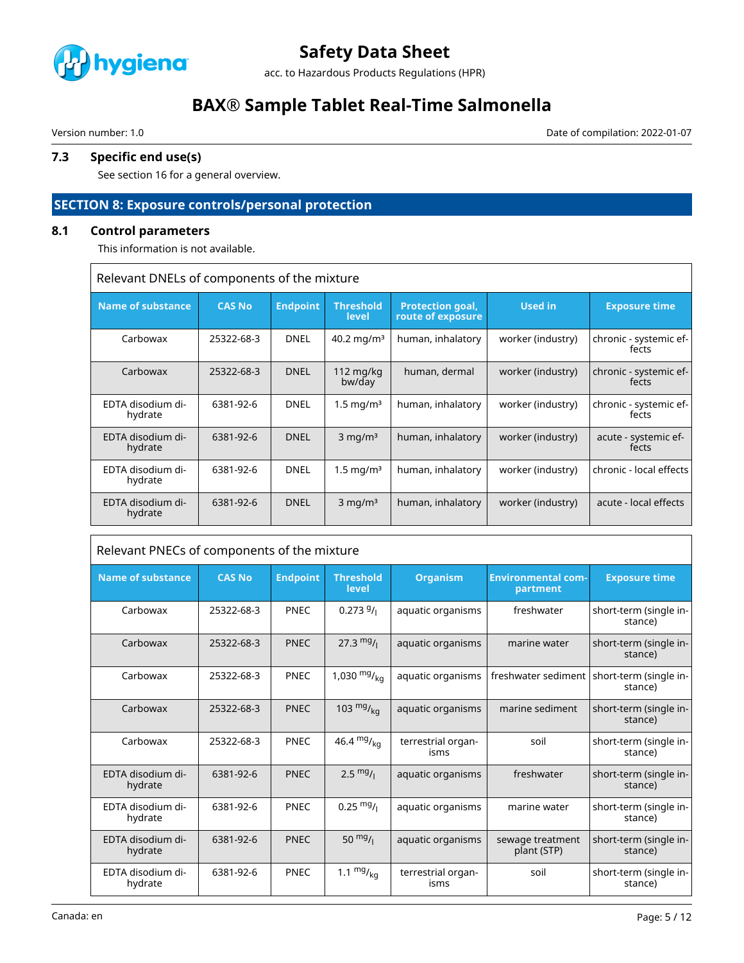

acc. to Hazardous Products Regulations (HPR)

## **BAX® Sample Tablet Real-Time Salmonella**

 $\sqrt{2}$ 

Version number: 1.0 Date of compilation: 2022-01-07

## **7.3 Specific end use(s)**

See section 16 for a general overview.

## **SECTION 8: Exposure controls/personal protection**

## **8.1 Control parameters**

This information is not available.

| Relevant DNELs of components of the mixture |               |                 |                           |                                              |                   |                                 |
|---------------------------------------------|---------------|-----------------|---------------------------|----------------------------------------------|-------------------|---------------------------------|
| <b>Name of substance</b>                    | <b>CAS No</b> | <b>Endpoint</b> | <b>Threshold</b><br>level | <b>Protection goal,</b><br>route of exposure | Used in           | <b>Exposure time</b>            |
| Carbowax                                    | 25322-68-3    | <b>DNEL</b>     | 40.2 mg/m <sup>3</sup>    | human, inhalatory                            | worker (industry) | chronic - systemic ef-<br>fects |
| Carbowax                                    | 25322-68-3    | <b>DNEL</b>     | 112 $mg/kg$<br>bw/day     | human, dermal                                | worker (industry) | chronic - systemic ef-<br>fects |
| EDTA disodium di-<br>hydrate                | 6381-92-6     | <b>DNEL</b>     | $1.5 \,\mathrm{mq/m^3}$   | human, inhalatory                            | worker (industry) | chronic - systemic ef-<br>fects |
| EDTA disodium di-<br>hydrate                | 6381-92-6     | <b>DNEL</b>     | $3 \text{ mg/m}^3$        | human, inhalatory                            | worker (industry) | acute - systemic ef-<br>fects   |
| EDTA disodium di-<br>hydrate                | 6381-92-6     | <b>DNEL</b>     | $1.5 \,\mathrm{mq/m^3}$   | human, inhalatory                            | worker (industry) | chronic - local effects         |
| EDTA disodium di-<br>hydrate                | 6381-92-6     | <b>DNEL</b>     | $3 \text{ mg/m}^3$        | human, inhalatory                            | worker (industry) | acute - local effects           |

| Relevant PNECs of components of the mixture |               |                 |                           |                            |                                       |                                                         |
|---------------------------------------------|---------------|-----------------|---------------------------|----------------------------|---------------------------------------|---------------------------------------------------------|
| <b>Name of substance</b>                    | <b>CAS No</b> | <b>Endpoint</b> | <b>Threshold</b><br>level | <b>Organism</b>            | <b>Environmental com-</b><br>partment | <b>Exposure time</b>                                    |
| Carbowax                                    | 25322-68-3    | <b>PNEC</b>     | 0.2739/                   | aquatic organisms          | freshwater                            | short-term (single in-<br>stance)                       |
| Carbowax                                    | 25322-68-3    | <b>PNEC</b>     | 27.3 $mg/1$               | aquatic organisms          | marine water                          | short-term (single in-<br>stance)                       |
| Carbowax                                    | 25322-68-3    | <b>PNEC</b>     | 1,030 $mg/_{ka}$          | aquatic organisms          |                                       | freshwater sediment   short-term (single in-<br>stance) |
| Carbowax                                    | 25322-68-3    | <b>PNEC</b>     | 103 $mg/_{ka}$            | aquatic organisms          | marine sediment                       | short-term (single in-<br>stance)                       |
| Carbowax                                    | 25322-68-3    | <b>PNEC</b>     | 46.4 $mg/kq$              | terrestrial organ-<br>isms | soil                                  | short-term (single in-<br>stance)                       |
| EDTA disodium di-<br>hydrate                | 6381-92-6     | <b>PNEC</b>     | $2.5 \frac{mg}{l}$        | aquatic organisms          | freshwater                            | short-term (single in-<br>stance)                       |
| EDTA disodium di-<br>hydrate                | 6381-92-6     | <b>PNEC</b>     | $0.25 \frac{mg}{l}$       | aquatic organisms          | marine water                          | short-term (single in-<br>stance)                       |
| EDTA disodium di-<br>hydrate                | 6381-92-6     | <b>PNEC</b>     | 50 $mg/1$                 | aquatic organisms          | sewage treatment<br>plant (STP)       | short-term (single in-<br>stance)                       |
| EDTA disodium di-<br>hydrate                | 6381-92-6     | <b>PNEC</b>     | 1.1 $mg/_{kq}$            | terrestrial organ-<br>isms | soil                                  | short-term (single in-<br>stance)                       |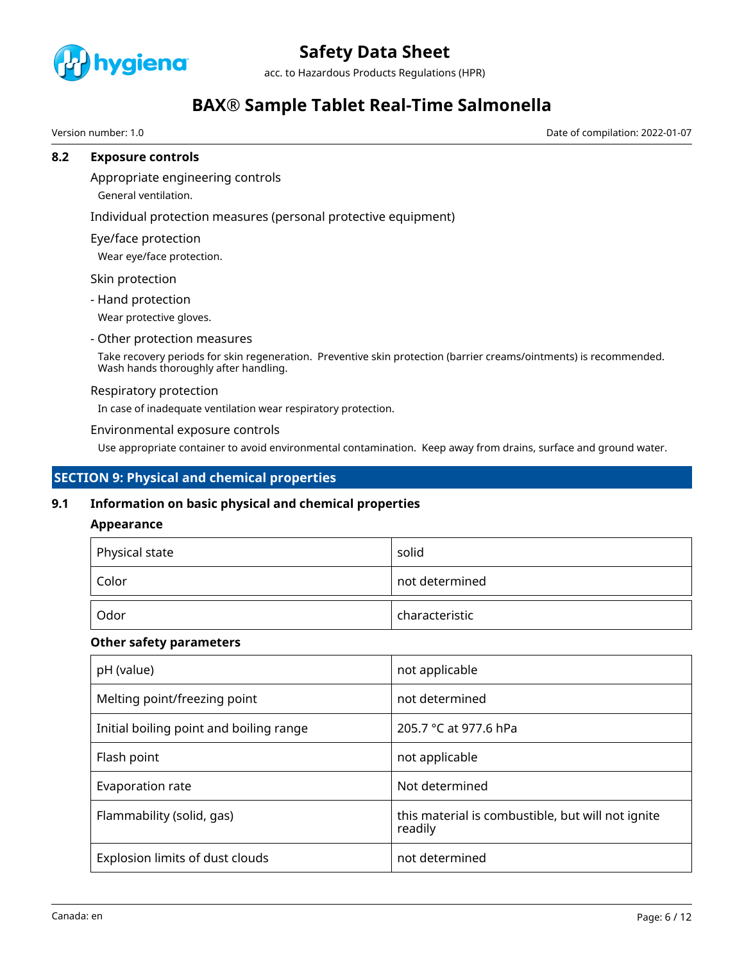

acc. to Hazardous Products Regulations (HPR)

## **BAX® Sample Tablet Real-Time Salmonella**

Version number: 1.0 Date of compilation: 2022-01-07

### **8.2 Exposure controls**

Appropriate engineering controls

General ventilation.

Individual protection measures (personal protective equipment)

Eye/face protection

Wear eye/face protection.

Skin protection

- Hand protection

Wear protective gloves.

#### - Other protection measures

Take recovery periods for skin regeneration. Preventive skin protection (barrier creams/ointments) is recommended. Wash hands thoroughly after handling.

#### Respiratory protection

In case of inadequate ventilation wear respiratory protection.

#### Environmental exposure controls

Use appropriate container to avoid environmental contamination. Keep away from drains, surface and ground water.

## **SECTION 9: Physical and chemical properties**

### **9.1 Information on basic physical and chemical properties**

### **Appearance**

| $\mathop{^+}$ Physical state | solid          |
|------------------------------|----------------|
| Color                        | not determined |
| Odor                         | characteristic |

### **Other safety parameters**

| pH (value)                              | not applicable                                               |
|-----------------------------------------|--------------------------------------------------------------|
| Melting point/freezing point            | not determined                                               |
| Initial boiling point and boiling range | 205.7 °C at 977.6 hPa                                        |
| Flash point                             | not applicable                                               |
| Evaporation rate                        | Not determined                                               |
| Flammability (solid, gas)               | this material is combustible, but will not ignite<br>readily |
| Explosion limits of dust clouds         | not determined                                               |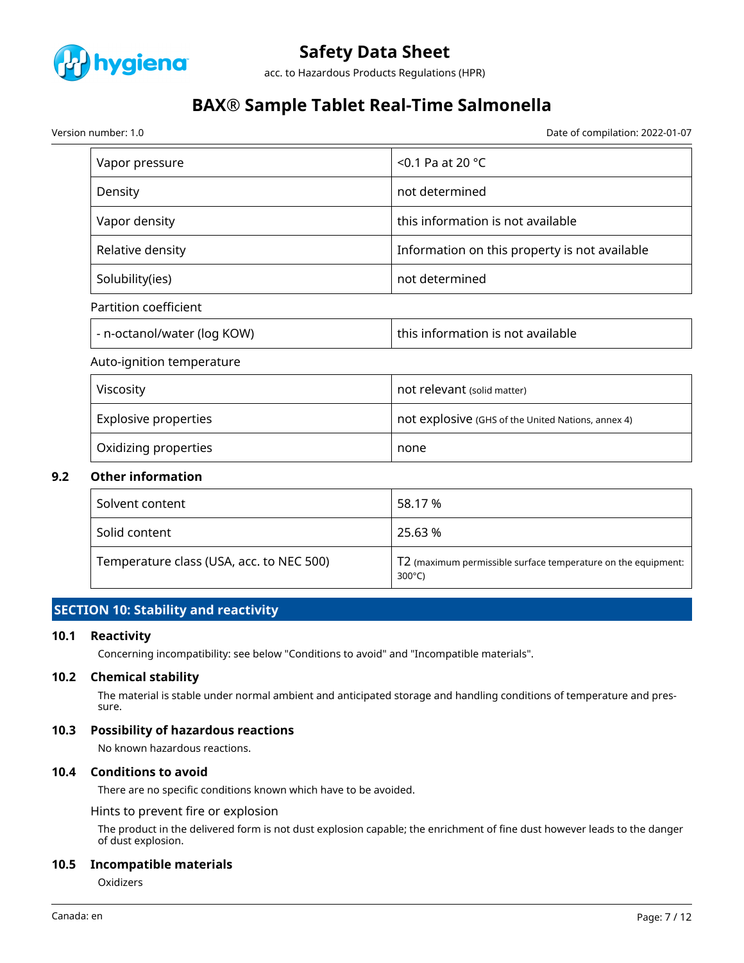

acc. to Hazardous Products Regulations (HPR)

## **BAX® Sample Tablet Real-Time Salmonella**

Version number: 1.0 Date of compilation: 2022-01-07

| Vapor pressure              | $<$ 0.1 Pa at 20 °C                           |
|-----------------------------|-----------------------------------------------|
| Density                     | not determined                                |
| Vapor density               | this information is not available             |
| Relative density            | Information on this property is not available |
| Solubility(ies)             | not determined                                |
| Partition coefficient       |                                               |
| - n-octanol/water (log KOW) | this information is not available             |
| Auto-ignition temperature   |                                               |
| Viscosity                   | not relevant (solid matter)                   |

| <b>VISCOSILV</b>     | TIOL PEIEVANIL (SOlid matter)                      |
|----------------------|----------------------------------------------------|
| Explosive properties | not explosive (GHS of the United Nations, annex 4) |
| Oxidizing properties | none                                               |

### **9.2 Other information**

| Solvent content                          | 58.17 %                                                                           |
|------------------------------------------|-----------------------------------------------------------------------------------|
| Solid content                            | 25.63 %                                                                           |
| Temperature class (USA, acc. to NEC 500) | T2 (maximum permissible surface temperature on the equipment:<br>$300^{\circ}$ C) |

## **SECTION 10: Stability and reactivity**

### **10.1 Reactivity**

Concerning incompatibility: see below "Conditions to avoid" and "Incompatible materials".

#### **10.2 Chemical stability**

The material is stable under normal ambient and anticipated storage and handling conditions of temperature and pressure.

### **10.3 Possibility of hazardous reactions**

No known hazardous reactions.

#### **10.4 Conditions to avoid**

There are no specific conditions known which have to be avoided.

Hints to prevent fire or explosion

The product in the delivered form is not dust explosion capable; the enrichment of fine dust however leads to the danger of dust explosion.

#### **10.5 Incompatible materials**

**Oxidizers**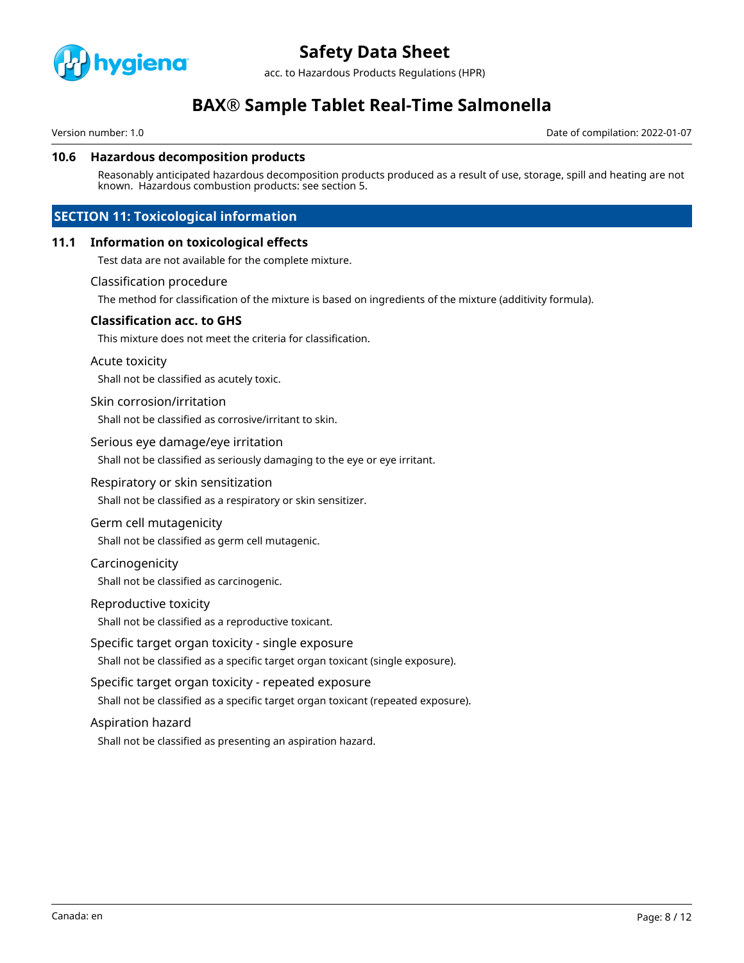

acc. to Hazardous Products Regulations (HPR)

## **BAX® Sample Tablet Real-Time Salmonella**

Version number: 1.0 Date of compilation: 2022-01-07

#### **10.6 Hazardous decomposition products**

Reasonably anticipated hazardous decomposition products produced as a result of use, storage, spill and heating are not known. Hazardous combustion products: see section 5.

## **SECTION 11: Toxicological information**

#### **11.1 Information on toxicological effects**

Test data are not available for the complete mixture.

#### Classification procedure

The method for classification of the mixture is based on ingredients of the mixture (additivity formula).

#### **Classification acc. to GHS**

This mixture does not meet the criteria for classification.

#### Acute toxicity

Shall not be classified as acutely toxic.

#### Skin corrosion/irritation

Shall not be classified as corrosive/irritant to skin.

#### Serious eye damage/eye irritation

Shall not be classified as seriously damaging to the eye or eye irritant.

#### Respiratory or skin sensitization

Shall not be classified as a respiratory or skin sensitizer.

#### Germ cell mutagenicity

Shall not be classified as germ cell mutagenic.

#### Carcinogenicity

Shall not be classified as carcinogenic.

#### Reproductive toxicity

Shall not be classified as a reproductive toxicant.

#### Specific target organ toxicity - single exposure

Shall not be classified as a specific target organ toxicant (single exposure).

#### Specific target organ toxicity - repeated exposure

Shall not be classified as a specific target organ toxicant (repeated exposure).

#### Aspiration hazard

Shall not be classified as presenting an aspiration hazard.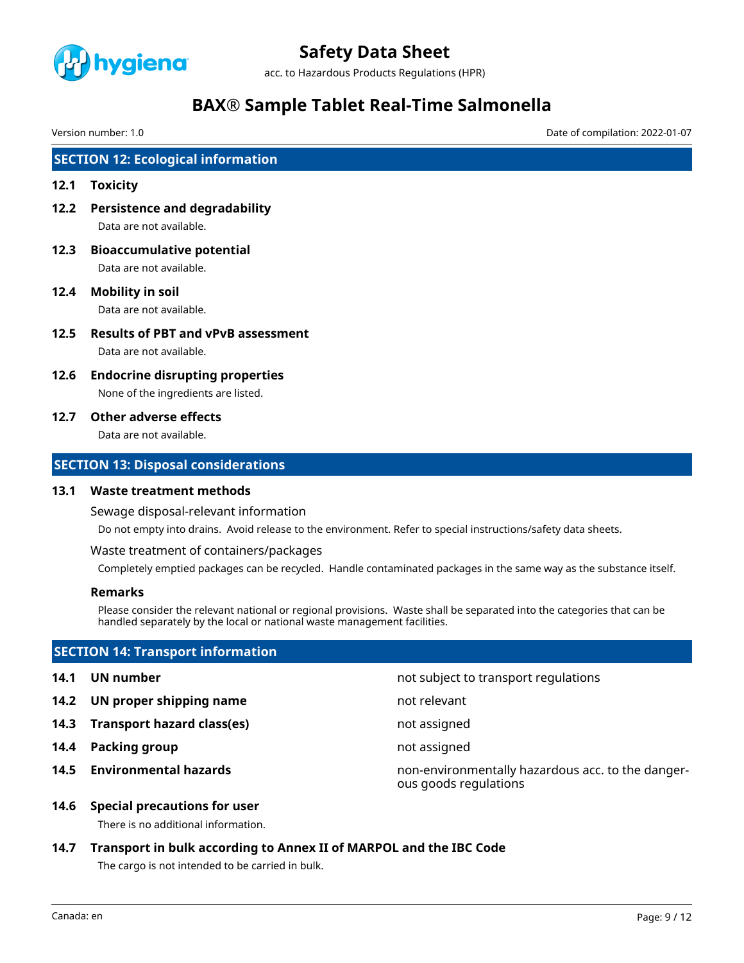

acc. to Hazardous Products Regulations (HPR)

## **BAX® Sample Tablet Real-Time Salmonella**

Version number: 1.0 Date of compilation: 2022-01-07

## **SECTION 12: Ecological information**

#### **12.1 Toxicity**

- **12.2 Persistence and degradability** Data are not available.
- **12.3 Bioaccumulative potential** Data are not available.
- **12.4 Mobility in soil** Data are not available.
- **12.5 Results of PBT and vPvB assessment** Data are not available.
- **12.6 Endocrine disrupting properties** None of the ingredients are listed.

### **12.7 Other adverse effects**

Data are not available.

### **SECTION 13: Disposal considerations**

#### **13.1 Waste treatment methods**

Sewage disposal-relevant information

Do not empty into drains. Avoid release to the environment. Refer to special instructions/safety data sheets.

Waste treatment of containers/packages

Completely emptied packages can be recycled. Handle contaminated packages in the same way as the substance itself.

### **Remarks**

Please consider the relevant national or regional provisions. Waste shall be separated into the categories that can be handled separately by the local or national waste management facilities.

## **SECTION 14: Transport information**

- 
- **14.2 UN proper shipping name** not relevant
- **14.3 Transport hazard class(es)** not assigned
- **14.4 Packing group not assigned not assigned**
- 

**14.1 UN number 14.1 UN** number

**14.5 Environmental hazards** non-environmentally hazardous acc. to the dangerous goods regulations

#### **14.6 Special precautions for user**

There is no additional information.

**14.7 Transport in bulk according to Annex II of MARPOL and the IBC Code**

The cargo is not intended to be carried in bulk.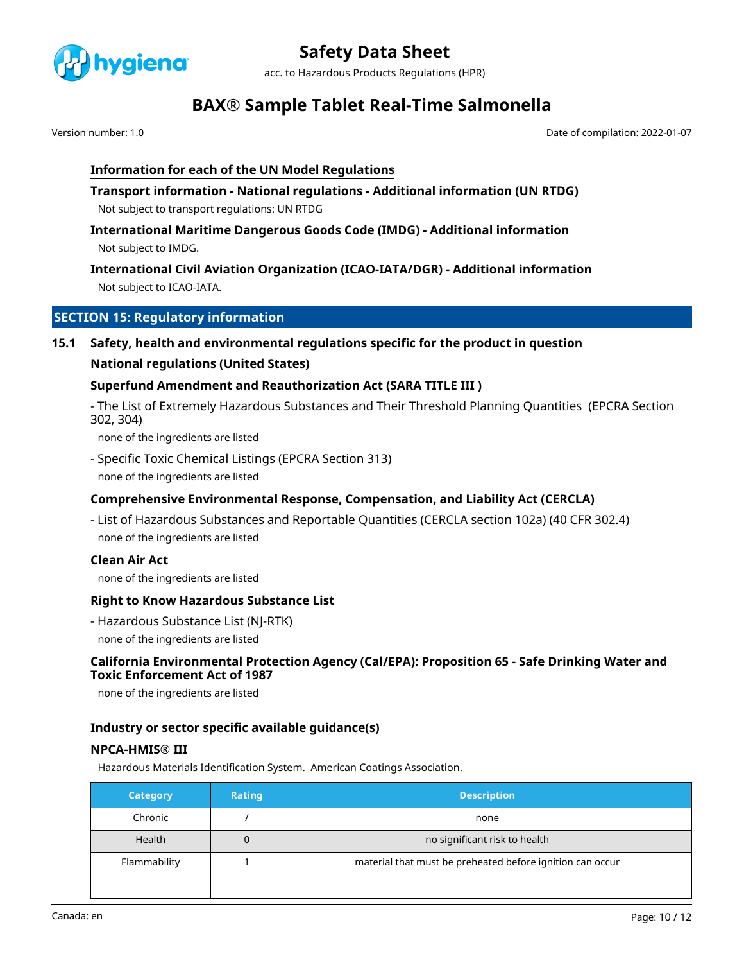

acc. to Hazardous Products Regulations (HPR)

## **BAX® Sample Tablet Real-Time Salmonella**

Version number: 1.0 Date of compilation: 2022-01-07

### **Information for each of the UN Model Regulations**

**Transport information - National regulations - Additional information (UN RTDG)** Not subject to transport regulations: UN RTDG

**International Maritime Dangerous Goods Code (IMDG) - Additional information** Not subject to IMDG.

## **International Civil Aviation Organization (ICAO-IATA/DGR) - Additional information** Not subject to ICAO-IATA.

## **SECTION 15: Regulatory information**

### **15.1 Safety, health and environmental regulations specific for the product in question**

### **National regulations (United States)**

### **Superfund Amendment and Reauthorization Act (SARA TITLE III )**

- The List of Extremely Hazardous Substances and Their Threshold Planning Quantities (EPCRA Section 302, 304)

none of the ingredients are listed

- Specific Toxic Chemical Listings (EPCRA Section 313) none of the ingredients are listed

## **Comprehensive Environmental Response, Compensation, and Liability Act (CERCLA)**

- List of Hazardous Substances and Reportable Quantities (CERCLA section 102a) (40 CFR 302.4) none of the ingredients are listed

### **Clean Air Act**

none of the ingredients are listed

### **Right to Know Hazardous Substance List**

- Hazardous Substance List (NJ-RTK)
- none of the ingredients are listed

### **California Environmental Protection Agency (Cal/EPA): Proposition 65 - Safe Drinking Water and Toxic Enforcement Act of 1987**

none of the ingredients are listed

### **Industry or sector specific available guidance(s)**

### **NPCA-HMIS® III**

Hazardous Materials Identification System. American Coatings Association.

| <b>Category</b> | Rating | <b>Description</b>                                        |
|-----------------|--------|-----------------------------------------------------------|
| Chronic         |        | none                                                      |
| <b>Health</b>   |        | no significant risk to health                             |
| Flammability    |        | material that must be preheated before ignition can occur |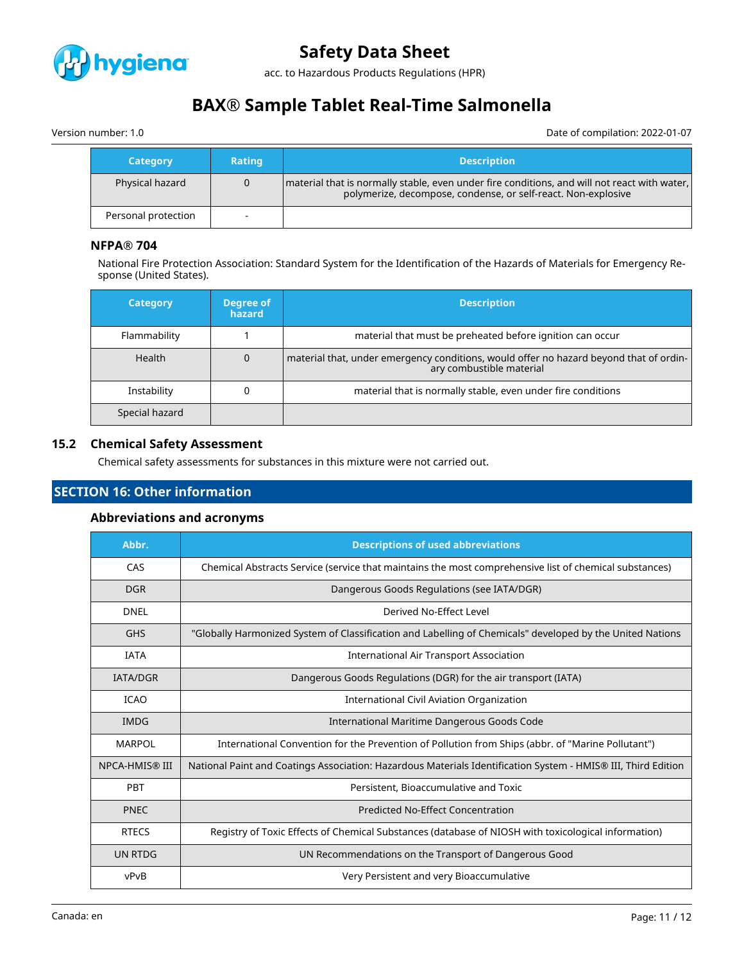

acc. to Hazardous Products Regulations (HPR)

## **BAX® Sample Tablet Real-Time Salmonella**

Version number: 1.0 Date of compilation: 2022-01-07

| <b>Category</b>     | <b>Rating</b>            | <b>Description</b>                                                                                                                                            |
|---------------------|--------------------------|---------------------------------------------------------------------------------------------------------------------------------------------------------------|
| Physical hazard     | 0                        | material that is normally stable, even under fire conditions, and will not react with water,<br>polymerize, decompose, condense, or self-react. Non-explosive |
| Personal protection | $\overline{\phantom{a}}$ |                                                                                                                                                               |

### **NFPA® 704**

National Fire Protection Association: Standard System for the Identification of the Hazards of Materials for Emergency Response (United States).

| <b>Category</b> | Degree of<br>hazard | <b>Description</b>                                                                                                 |
|-----------------|---------------------|--------------------------------------------------------------------------------------------------------------------|
| Flammability    |                     | material that must be preheated before ignition can occur                                                          |
| <b>Health</b>   |                     | material that, under emergency conditions, would offer no hazard beyond that of ordin-<br>ary combustible material |
| Instability     |                     | material that is normally stable, even under fire conditions                                                       |
| Special hazard  |                     |                                                                                                                    |

### **15.2 Chemical Safety Assessment**

Chemical safety assessments for substances in this mixture were not carried out.

## **SECTION 16: Other information**

### **Abbreviations and acronyms**

| Abbr.           | <b>Descriptions of used abbreviations</b>                                                                     |
|-----------------|---------------------------------------------------------------------------------------------------------------|
| CAS             | Chemical Abstracts Service (service that maintains the most comprehensive list of chemical substances)        |
| <b>DGR</b>      | Dangerous Goods Regulations (see IATA/DGR)                                                                    |
| <b>DNEL</b>     | Derived No-Effect Level                                                                                       |
| <b>GHS</b>      | "Globally Harmonized System of Classification and Labelling of Chemicals" developed by the United Nations     |
| <b>IATA</b>     | <b>International Air Transport Association</b>                                                                |
| <b>IATA/DGR</b> | Dangerous Goods Regulations (DGR) for the air transport (IATA)                                                |
| <b>ICAO</b>     | International Civil Aviation Organization                                                                     |
| <b>IMDG</b>     | International Maritime Dangerous Goods Code                                                                   |
| <b>MARPOL</b>   | International Convention for the Prevention of Pollution from Ships (abbr. of "Marine Pollutant")             |
| NPCA-HMIS® III  | National Paint and Coatings Association: Hazardous Materials Identification System - HMIS® III, Third Edition |
| PBT             | Persistent, Bioaccumulative and Toxic                                                                         |
| <b>PNEC</b>     | <b>Predicted No-Effect Concentration</b>                                                                      |
| <b>RTECS</b>    | Registry of Toxic Effects of Chemical Substances (database of NIOSH with toxicological information)           |
| UN RTDG         | UN Recommendations on the Transport of Dangerous Good                                                         |
| vPvB            | Very Persistent and very Bioaccumulative                                                                      |